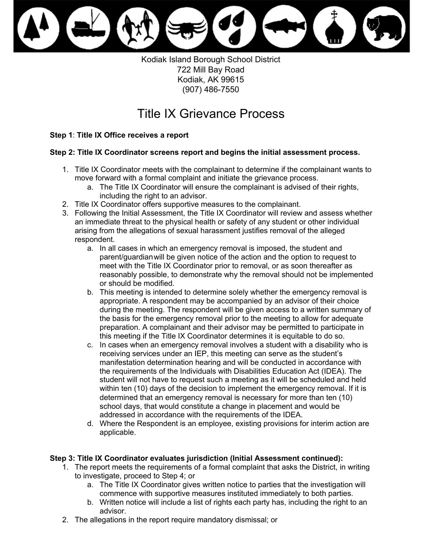

Kodiak Island Borough School District 722 Mill Bay Road Kodiak, AK 99615 (907) 486-7550

# Title IX Grievance Process

## **Step 1**: **Title IX Office receives a report**

### **Step 2: Title IX Coordinator screens report and begins the initial assessment process.**

- 1. Title IX Coordinator meets with the complainant to determine if the complainant wants to move forward with a formal complaint and initiate the grievance process.
	- a. The Title IX Coordinator will ensure the complainant is advised of their rights, including the right to an advisor.
- 2. Title IX Coordinator offers supportive measures to the complainant.
- 3. Following the Initial Assessment, the Title IX Coordinator will review and assess whether an immediate threat to the physical health or safety of any student or other individual arising from the allegations of sexual harassment justifies removal of the alleged respondent.
	- parent/guardianwill be given notice of the action and the option to request to meet with the Title IX Coordinator prior to removal, or as soon thereafter as reasonably possible, to demonstrate why the removal should not be implemented a. In all cases in which an emergency removal is imposed, the student and or should be modified.
	- b. This meeting is intended to determine solely whether the emergency removal is appropriate. A respondent may be accompanied by an advisor of their choice preparation. A complainant and their advisor may be permitted to participate in during the meeting. The respondent will be given access to a written summary of the basis for the emergency removal prior to the meeting to allow for adequate this meeting if the Title IX Coordinator determines it is equitable to do so.
	- manifestation determination hearing and will be conducted in accordance with student will not have to request such a meeting as it will be scheduled and held within ten (10) days of the decision to implement the emergency removal. If it is school days, that would constitute a change in placement and would be c. In cases when an emergency removal involves a student with a disability who is receiving services under an IEP, this meeting can serve as the student's the requirements of the Individuals with Disabilities Education Act (IDEA). The determined that an emergency removal is necessary for more than ten (10) addressed in accordance with the requirements of the IDEA.
	- d. Where the Respondent is an employee, existing provisions for interim action are applicable.

### **Step 3: Title IX Coordinator evaluates jurisdiction (Initial Assessment continued):**

- 1. The report meets the requirements of a formal complaint that asks the District, in writing to investigate, proceed to Step 4; or
	- a. The Title IX Coordinator gives written notice to parties that the investigation will commence with supportive measures instituted immediately to both parties.
	- b. Written notice will include a list of rights each party has, including the right to an advisor.
- 2. The allegations in the report require mandatory dismissal; or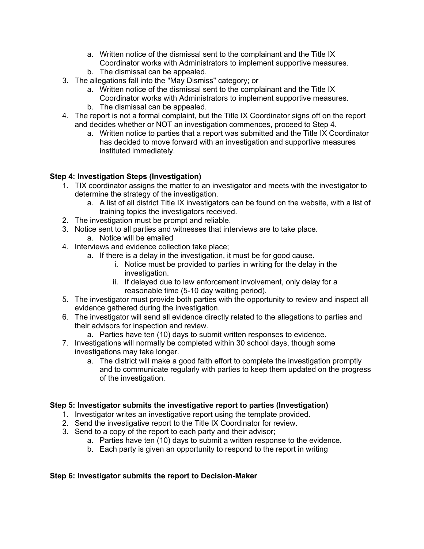- a. Written notice of the dismissal sent to the complainant and the Title IX Coordinator works with Administrators to implement supportive measures.
- b. The dismissal can be appealed.
- 3. The allegations fall into the "May Dismiss" category; or
	- a. Written notice of the dismissal sent to the complainant and the Title IX Coordinator works with Administrators to implement supportive measures.
	- b. The dismissal can be appealed.
- 4. The report is not a formal complaint, but the Title IX Coordinator signs off on the report and decides whether or NOT an investigation commences, proceed to Step 4.
	- a. Written notice to parties that a report was submitted and the Title IX Coordinator has decided to move forward with an investigation and supportive measures instituted immediately.

# **Step 4: Investigation Steps (Investigation)**

- 1. TIX coordinator assigns the matter to an investigator and meets with the investigator to determine the strategy of the investigation.
	- a. A list of all district Title IX investigators can be found on the website, with a list of training topics the investigators received.
- 2. The investigation must be prompt and reliable.
- 3. Notice sent to all parties and witnesses that interviews are to take place.
	- a. Notice will be emailed
- 4. Interviews and evidence collection take place;
	- a. If there is a delay in the investigation, it must be for good cause.
		- i. Notice must be provided to parties in writing for the delay in the investigation.
		- ii. If delayed due to law enforcement involvement, only delay for a reasonable time (5-10 day waiting period).
- 5. The investigator must provide both parties with the opportunity to review and inspect all evidence gathered during the investigation.
- 6. The investigator will send all evidence directly related to the allegations to parties and their advisors for inspection and review.
	- a. Parties have ten (10) days to submit written responses to evidence.
- investigations may take longer. 7. Investigations will normally be completed within 30 school days, though some
	- a. The district will make a good faith effort to complete the investigation promptly and to communicate regularly with parties to keep them updated on the progress of the investigation.

### **Step 5: Investigator submits the investigative report to parties (Investigation)**

- 1. Investigator writes an investigative report using the template provided.
- 2. Send the investigative report to the Title IX Coordinator for review.
- 3. Send to a copy of the report to each party and their advisor;
	- a. Parties have ten (10) days to submit a written response to the evidence.
	- b. Each party is given an opportunity to respond to the report in writing

# **Step 6: Investigator submits the report to Decision-Maker**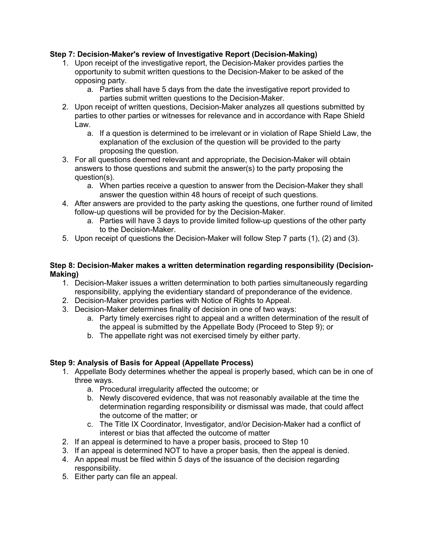## **Step 7: Decision-Maker's review of Investigative Report (Decision-Making)**

- 1. Upon receipt of the investigative report, the Decision-Maker provides parties the opportunity to submit written questions to the Decision-Maker to be asked of the opposing party.
	- a. Parties shall have 5 days from the date the investigative report provided to parties submit written questions to the Decision-Maker.
- 2. Upon receipt of written questions, Decision-Maker analyzes all questions submitted by parties to other parties or witnesses for relevance and in accordance with Rape Shield Law.
	- a. If a question is determined to be irrelevant or in violation of Rape Shield Law, the explanation of the exclusion of the question will be provided to the party proposing the question.
- 3. For all questions deemed relevant and appropriate, the Decision-Maker will obtain answers to those questions and submit the answer(s) to the party proposing the question(s).
	- a. When parties receive a question to answer from the Decision-Maker they shall answer the question within 48 hours of receipt of such questions.
- 4. After answers are provided to the party asking the questions, one further round of limited follow-up questions will be provided for by the Decision-Maker.
	- a. Parties will have 3 days to provide limited follow-up questions of the other party to the Decision-Maker.
- 5. Upon receipt of questions the Decision-Maker will follow Step 7 parts (1), (2) and (3).

### **Step 8: Decision-Maker makes a written determination regarding responsibility (Decision-Making)**

- 1. Decision-Maker issues a written determination to both parties simultaneously regarding responsibility, applying the evidentiary standard of preponderance of the evidence.
- 2. Decision-Maker provides parties with Notice of Rights to Appeal.
- 3. Decision-Maker determines finality of decision in one of two ways:
	- a. Party timely exercises right to appeal and a written determination of the result of the appeal is submitted by the Appellate Body (Proceed to Step 9); or
	- b. The appellate right was not exercised timely by either party.

# **Step 9: Analysis of Basis for Appeal (Appellate Process)**

- 1. Appellate Body determines whether the appeal is properly based, which can be in one of three ways.
	- a. Procedural irregularity affected the outcome; or
	- b. Newly discovered evidence, that was not reasonably available at the time the determination regarding responsibility or dismissal was made, that could affect the outcome of the matter; or
	- c. The Title IX Coordinator, Investigator, and/or Decision-Maker had a conflict of interest or bias that affected the outcome of matter
- 2. If an appeal is determined to have a proper basis, proceed to Step 10
- 3. If an appeal is determined NOT to have a proper basis, then the appeal is denied.
- 4. An appeal must be filed within 5 days of the issuance of the decision regarding responsibility.
- 5. Either party can file an appeal.